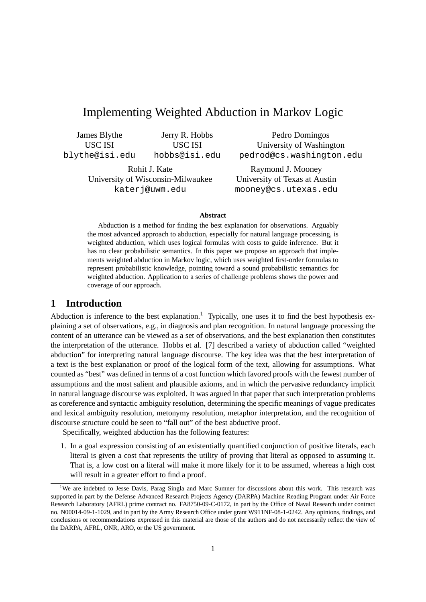# Implementing Weighted Abduction in Markov Logic

James Blythe USC ISI blythe@isi.edu

Jerry R. Hobbs USC ISI hobbs@isi.edu

Rohit J. Kate University of Wisconsin-Milwaukee katerj@uwm.edu

Pedro Domingos University of Washington pedrod@cs.washington.edu

Raymond J. Mooney University of Texas at Austin mooney@cs.utexas.edu

#### **Abstract**

Abduction is a method for finding the best explanation for observations. Arguably the most advanced approach to abduction, especially for natural language processing, is weighted abduction, which uses logical formulas with costs to guide inference. But it has no clear probabilistic semantics. In this paper we propose an approach that implements weighted abduction in Markov logic, which uses weighted first-order formulas to represent probabilistic knowledge, pointing toward a sound probabilistic semantics for weighted abduction. Application to a series of challenge problems shows the power and coverage of our approach.

## **1 Introduction**

Abduction is inference to the best explanation.<sup>1</sup> Typically, one uses it to find the best hypothesis explaining a set of observations, e.g., in diagnosis and plan recognition. In natural language processing the content of an utterance can be viewed as a set of observations, and the best explanation then constitutes the interpretation of the utterance. Hobbs et al. [7] described a variety of abduction called "weighted abduction" for interpreting natural language discourse. The key idea was that the best interpretation of a text is the best explanation or proof of the logical form of the text, allowing for assumptions. What counted as "best" was defined in terms of a cost function which favored proofs with the fewest number of assumptions and the most salient and plausible axioms, and in which the pervasive redundancy implicit in natural language discourse was exploited. It was argued in that paper that such interpretation problems as coreference and syntactic ambiguity resolution, determining the specific meanings of vague predicates and lexical ambiguity resolution, metonymy resolution, metaphor interpretation, and the recognition of discourse structure could be seen to "fall out" of the best abductive proof.

Specifically, weighted abduction has the following features:

1. In a goal expression consisting of an existentially quantified conjunction of positive literals, each literal is given a cost that represents the utility of proving that literal as opposed to assuming it. That is, a low cost on a literal will make it more likely for it to be assumed, whereas a high cost will result in a greater effort to find a proof.

<sup>&</sup>lt;sup>1</sup>We are indebted to Jesse Davis, Parag Singla and Marc Sumner for discussions about this work. This research was supported in part by the Defense Advanced Research Projects Agency (DARPA) Machine Reading Program under Air Force Research Laboratory (AFRL) prime contract no. FA8750-09-C-0172, in part by the Office of Naval Research under contract no. N00014-09-1-1029, and in part by the Army Research Office under grant W911NF-08-1-0242. Any opinions, findings, and conclusions or recommendations expressed in this material are those of the authors and do not necessarily reflect the view of the DARPA, AFRL, ONR, ARO, or the US government.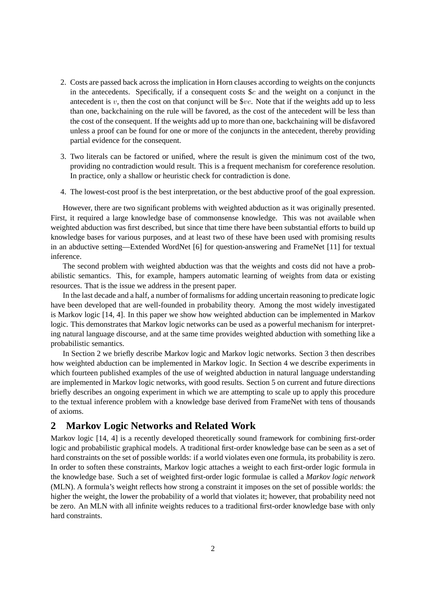- 2. Costs are passed back across the implication in Horn clauses according to weights on the conjuncts in the antecedents. Specifically, if a consequent costs  $\&c$  and the weight on a conjunct in the antecedent is v, then the cost on that conjunct will be  $\$vc$ . Note that if the weights add up to less than one, backchaining on the rule will be favored, as the cost of the antecedent will be less than the cost of the consequent. If the weights add up to more than one, backchaining will be disfavored unless a proof can be found for one or more of the conjuncts in the antecedent, thereby providing partial evidence for the consequent.
- 3. Two literals can be factored or unified, where the result is given the minimum cost of the two, providing no contradiction would result. This is a frequent mechanism for coreference resolution. In practice, only a shallow or heuristic check for contradiction is done.
- 4. The lowest-cost proof is the best interpretation, or the best abductive proof of the goal expression.

However, there are two significant problems with weighted abduction as it was originally presented. First, it required a large knowledge base of commonsense knowledge. This was not available when weighted abduction was first described, but since that time there have been substantial efforts to build up knowledge bases for various purposes, and at least two of these have been used with promising results in an abductive setting—Extended WordNet [6] for question-answering and FrameNet [11] for textual inference.

The second problem with weighted abduction was that the weights and costs did not have a probabilistic semantics. This, for example, hampers automatic learning of weights from data or existing resources. That is the issue we address in the present paper.

In the last decade and a half, a number of formalisms for adding uncertain reasoning to predicate logic have been developed that are well-founded in probability theory. Among the most widely investigated is Markov logic [14, 4]. In this paper we show how weighted abduction can be implemented in Markov logic. This demonstrates that Markov logic networks can be used as a powerful mechanism for interpreting natural language discourse, and at the same time provides weighted abduction with something like a probabilistic semantics.

In Section 2 we briefly describe Markov logic and Markov logic networks. Section 3 then describes how weighted abduction can be implemented in Markov logic. In Section 4 we describe experiments in which fourteen published examples of the use of weighted abduction in natural language understanding are implemented in Markov logic networks, with good results. Section 5 on current and future directions briefly describes an ongoing experiment in which we are attempting to scale up to apply this procedure to the textual inference problem with a knowledge base derived from FrameNet with tens of thousands of axioms.

### **2 Markov Logic Networks and Related Work**

Markov logic [14, 4] is a recently developed theoretically sound framework for combining first-order logic and probabilistic graphical models. A traditional first-order knowledge base can be seen as a set of hard constraints on the set of possible worlds: if a world violates even one formula, its probability is zero. In order to soften these constraints, Markov logic attaches a weight to each first-order logic formula in the knowledge base. Such a set of weighted first-order logic formulae is called a *Markov logic network* (MLN). A formula's weight reflects how strong a constraint it imposes on the set of possible worlds: the higher the weight, the lower the probability of a world that violates it; however, that probability need not be zero. An MLN with all infinite weights reduces to a traditional first-order knowledge base with only hard constraints.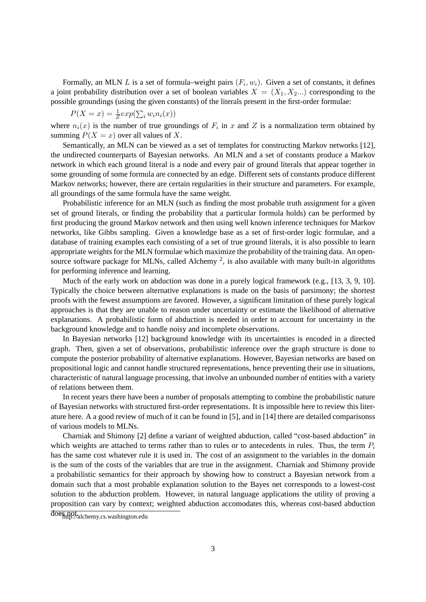Formally, an MLN L is a set of formula–weight pairs  $(F_i, w_i)$ . Given a set of constants, it defines a joint probability distribution over a set of boolean variables  $X = (X_1, X_2...)$  corresponding to the possible groundings (using the given constants) of the literals present in the first-order formulae:

$$
P(X = x) = \frac{1}{Z} exp(\sum_i w_i n_i(x))
$$

where  $n_i(x)$  is the number of true groundings of  $F_i$  in x and Z is a normalization term obtained by summing  $P(X = x)$  over all values of X.

Semantically, an MLN can be viewed as a set of templates for constructing Markov networks [12], the undirected counterparts of Bayesian networks. An MLN and a set of constants produce a Markov network in which each ground literal is a node and every pair of ground literals that appear together in some grounding of some formula are connected by an edge. Different sets of constants produce different Markov networks; however, there are certain regularities in their structure and parameters. For example, all groundings of the same formula have the same weight.

Probabilistic inference for an MLN (such as finding the most probable truth assignment for a given set of ground literals, or finding the probability that a particular formula holds) can be performed by first producing the ground Markov network and then using well known inference techniques for Markov networks, like Gibbs sampling. Given a knowledge base as a set of first-order logic formulae, and a database of training examples each consisting of a set of true ground literals, it is also possible to learn appropriate weights for the MLN formulae which maximize the probability of the training data. An opensource software package for MLNs, called Alchemy<sup>2</sup>, is also available with many built-in algorithms for performing inference and learning.

Much of the early work on abduction was done in a purely logical framework (e.g., [13, 3, 9, 10]. Typically the choice between alternative explanations is made on the basis of parsimony; the shortest proofs with the fewest assumptions are favored. However, a significant limitation of these purely logical approaches is that they are unable to reason under uncertainty or estimate the likelihood of alternative explanations. A probabilistic form of abduction is needed in order to account for uncertainty in the background knowledge and to handle noisy and incomplete observations.

In Bayesian networks [12] background knowledge with its uncertainties is encoded in a directed graph. Then, given a set of observations, probabilistic inference over the graph structure is done to compute the posterior probability of alternative explanations. However, Bayesian networks are based on propositional logic and cannot handle structured representations, hence preventing their use in situations, characteristic of natural language processing, that involve an unbounded number of entities with a variety of relations between them.

In recent years there have been a number of proposals attempting to combine the probabilistic nature of Bayesian networks with structured first-order representations. It is impossible here to review this literature here. A a good review of much of it can be found in [5], and in [14] there are detailed comparisonss of various models to MLNs.

Charniak and Shimony [2] define a variant of weighted abduction, called "cost-based abduction" in which weights are attached to terms rather than to rules or to antecedents in rules. Thus, the term  $P_i$ has the same cost whatever rule it is used in. The cost of an assignment to the variables in the domain is the sum of the costs of the variables that are true in the assignment. Charniak and Shimony provide a probabilistic semantics for their approach by showing how to construct a Bayesian network from a domain such that a most probable explanation solution to the Bayes net corresponds to a lowest-cost solution to the abduction problem. However, in natural language applications the utility of proving a proposition can vary by context; weighted abduction accomodates this, whereas cost-based abduction

doe<sub>nt</sub>pot<sub>/alchemy.cs.washington.edu</sub>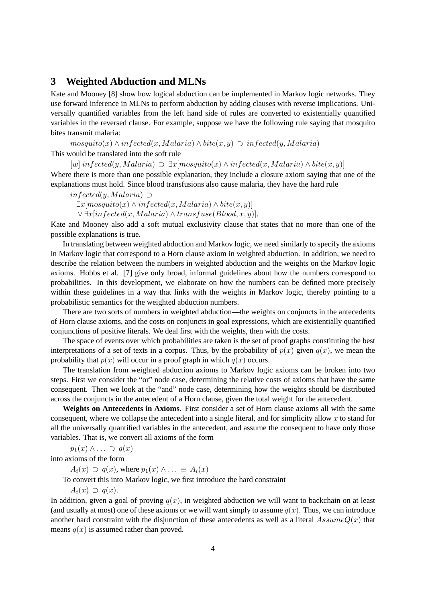### **3 Weighted Abduction and MLNs**

Kate and Mooney [8] show how logical abduction can be implemented in Markov logic networks. They use forward inference in MLNs to perform abduction by adding clauses with reverse implications. Universally quantified variables from the left hand side of rules are converted to existentially quantified variables in the reversed clause. For example, suppose we have the following rule saying that mosquito bites transmit malaria:

 $mosquito(x) \wedge infected(x, Malaria) \wedge bite(x, y) \supset infected(y, Malaria)$ 

This would be translated into the soft rule

 $[w]$  in fected(y, Malaria)  $\supset \exists x [mosquito(x) \wedge infected(x, Malaria) \wedge bite(x, y)]$ Where there is more than one possible explanation, they include a closure axiom saying that one of the explanations must hold. Since blood transfusions also cause malaria, they have the hard rule

 $infected(y, Malaria)$  ⊃  $\exists x [mosquito(x) \land infected(x, Malaria) \land bite(x, y)]$  $\vee \exists x [infected(x, Malaria) \wedge transfuse(Blood, x, y)].$ 

Kate and Mooney also add a soft mutual exclusivity clause that states that no more than one of the possible explanations is true.

In translating between weighted abduction and Markov logic, we need similarly to specify the axioms in Markov logic that correspond to a Horn clause axiom in weighted abduction. In addition, we need to describe the relation between the numbers in weighted abduction and the weights on the Markov logic axioms. Hobbs et al. [7] give only broad, informal guidelines about how the numbers correspond to probabilities. In this development, we elaborate on how the numbers can be defined more precisely within these guidelines in a way that links with the weights in Markov logic, thereby pointing to a probabilistic semantics for the weighted abduction numbers.

There are two sorts of numbers in weighted abduction—the weights on conjuncts in the antecedents of Horn clause axioms, and the costs on conjuncts in goal expressions, which are existentially quantified conjunctions of positive literals. We deal first with the weights, then with the costs.

The space of events over which probabilities are taken is the set of proof graphs constituting the best interpretations of a set of texts in a corpus. Thus, by the probability of  $p(x)$  given  $q(x)$ , we mean the probability that  $p(x)$  will occur in a proof graph in which  $q(x)$  occurs.

The translation from weighted abduction axioms to Markov logic axioms can be broken into two steps. First we consider the "or" node case, determining the relative costs of axioms that have the same consequent. Then we look at the "and" node case, determining how the weights should be distributed across the conjuncts in the antecedent of a Horn clause, given the total weight for the antecedent.

**Weights on Antecedents in Axioms.** First consider a set of Horn clause axioms all with the same consequent, where we collapse the antecedent into a single literal, and for simplicity allow  $x$  to stand for all the universally quantified variables in the antecedent, and assume the consequent to have only those variables. That is, we convert all axioms of the form

 $p_1(x) \wedge \ldots \supset q(x)$ 

into axioms of the form

 $A_i(x) \supset q(x)$ , where  $p_1(x) \wedge \ldots \equiv A_i(x)$ 

To convert this into Markov logic, we first introduce the hard constraint

 $A_i(x) \supset q(x)$ .

In addition, given a goal of proving  $q(x)$ , in weighted abduction we will want to backchain on at least (and usually at most) one of these axioms or we will want simply to assume  $q(x)$ . Thus, we can introduce another hard constraint with the disjunction of these antecedents as well as a literal  $AssumeQ(x)$  that means  $q(x)$  is assumed rather than proved.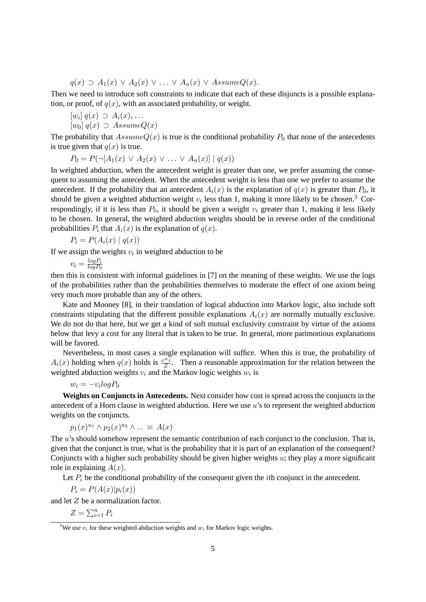$q(x) \supset A_1(x) \vee A_2(x) \vee \ldots \vee A_n(x) \vee AssumeQ(x).$ 

Then we need to introduce soft constraints to indicate that each of these disjuncts is a possible explanation, or proof, of  $q(x)$ , with an associated probability, or weight.

$$
[w_i] q(x) \supset A_i(x), \dots
$$
  

$$
[w_i] z(x) \supset A_2 \text{sum } O(x)
$$

 $[w_0]$   $q(x) \supset$  Assume $Q(x)$ 

The probability that  $AssumeQ(x)$  is true is the conditional probability  $P_0$  that none of the antecedents is true given that  $q(x)$  is true.

$$
P_0 = P(\neg [A_1(x) \lor A_2(x) \lor \dots \lor A_n(x)] \mid q(x))
$$

In weighted abduction, when the antecedent weight is greater than one, we prefer assuming the consequent to assuming the antecedent. When the antecedent weight is less than one we prefer to assume the antecedent. If the probability that an antecedent  $A_i(x)$  is the explanation of  $q(x)$  is greater than  $P_0$ , it should be given a weighted abduction weight  $v_i$  less than 1, making it more likely to be chosen.<sup>3</sup> Correspondingly, if it is less than  $P_0$ , it should be given a weight  $v_i$  greater than 1, making it less likely to be chosen. In general, the weighted abduction weights should be in reverse order of the conditional probabilities  $P_i$  that  $A_i(x)$  is the explanation of  $q(x)$ .

$$
P_i = P(A_i(x) | q(x))
$$

If we assign the weights  $v_i$  in weighted abduction to be

 $v_i = \frac{log P_i}{log P_o}$  $logP_0$ 

then this is consistent with informal guidelines in [7] on the meaning of these weights. We use the logs of the probabilities rather than the probabilities themselves to moderate the effect of one axiom being very much more probable than any of the others.

Kate and Mooney [8], in their translation of logical abduction into Markov logic, also include soft constraints stipulating that the different possible explanations  $A_i(x)$  are normally mutually exclusive. We do not do that here, but we get a kind of soft mutual exclusivity constraint by virtue of the axioms below that levy a cost for any literal that is taken to be true. In general, more parimonious explanations will be favored.

Nevertheless, in most cases a single explanation will suffice. When this is true, the probability of  $A_i(x)$  holding when  $q(x)$  holds is  $\frac{e^{i\omega_i}}{z}$  $\frac{z^{i}z^{j}}{Z}$ . Then a reasonable approximation for the relation between the weighted abduction weights  $v_i$  and the Markov logic weights  $w_i$  is

$$
w_i = -v_i \log P_0
$$

**Weights on Conjuncts in Antecedents.** Next consider how cost is spread across the conjuncts in the antecedent of a Horn clause in weighted abduction. Here we use  $u$ 's to represent the weighted abduction weights on the conjuncts.

$$
p_1(x)^{u_1} \wedge p_2(x)^{u_2} \wedge \dots \equiv A(x)
$$

The u's should somehow represent the semantic contribution of each conjunct to the conclusion. That is, given that the conjunct is true, what is the probability that it is part of an explanation of the consequent? Conjuncts with a higher such probability should be given higher weights  $u$ ; they play a more significant role in explaining  $A(x)$ .

Let  $P_i$  be the conditional probability of the consequent given the *i*th conjunct in the antecedent.

 $P_i = P(A(x)|p_i(x))$ 

and let Z be a normalization factor.

 $Z = \sum_{i=1}^n P_i$ 

<sup>&</sup>lt;sup>3</sup>We use  $v_i$  for these weighted abduction weights and  $w_i$  for Markov logic weights.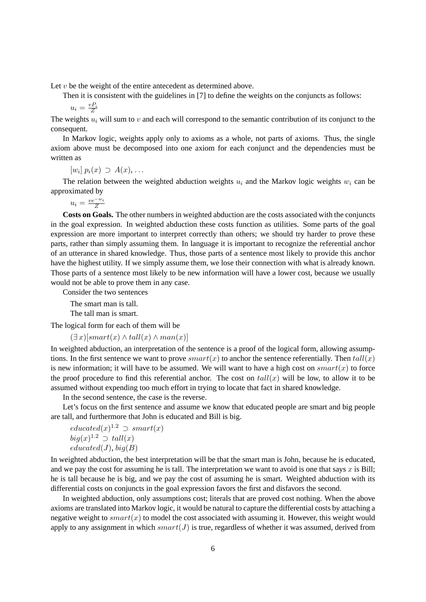Let  $v$  be the weight of the entire antecedent as determined above.

Then it is consistent with the guidelines in [7] to define the weights on the conjuncts as follows:

$$
u_i = \frac{v_i}{Z}
$$

The weights  $u_i$  will sum to v and each will correspond to the semantic contribution of its conjunct to the consequent.

In Markov logic, weights apply only to axioms as a whole, not parts of axioms. Thus, the single axiom above must be decomposed into one axiom for each conjunct and the dependencies must be written as

 $[w_i] p_i(x) \supset A(x), \ldots$ 

The relation between the weighted abduction weights  $u_i$  and the Markov logic weights  $w_i$  can be approximated by

$$
u_i = \frac{ve^{-w_i}}{Z}
$$

**Costs on Goals.** The other numbers in weighted abduction are the costs associated with the conjuncts in the goal expression. In weighted abduction these costs function as utilities. Some parts of the goal expression are more important to interpret correctly than others; we should try harder to prove these parts, rather than simply assuming them. In language it is important to recognize the referential anchor of an utterance in shared knowledge. Thus, those parts of a sentence most likely to provide this anchor have the highest utility. If we simply assume them, we lose their connection with what is already known. Those parts of a sentence most likely to be new information will have a lower cost, because we usually would not be able to prove them in any case.

Consider the two sentences

The smart man is tall.

The tall man is smart.

The logical form for each of them will be

 $(\exists x)[smart(x) \wedge tall(x) \wedge man(x)]$ 

In weighted abduction, an interpretation of the sentence is a proof of the logical form, allowing assumptions. In the first sentence we want to prove  $smart(x)$  to anchor the sentence referentially. Then  $tall(x)$ is new information; it will have to be assumed. We will want to have a high cost on  $smart(x)$  to force the proof procedure to find this referential anchor. The cost on  $tall(x)$  will be low, to allow it to be assumed without expending too much effort in trying to locate that fact in shared knowledge.

In the second sentence, the case is the reverse.

Let's focus on the first sentence and assume we know that educated people are smart and big people are tall, and furthermore that John is educated and Bill is big.

$$
educated(x)^{1.2} \supset smart(x) big(x)^{1.2} \supset tall(x) educated(J), big(B)
$$

In weighted abduction, the best interpretation will be that the smart man is John, because he is educated, and we pay the cost for assuming he is tall. The interpretation we want to avoid is one that says  $x$  is Bill; he is tall because he is big, and we pay the cost of assuming he is smart. Weighted abduction with its differential costs on conjuncts in the goal expression favors the first and disfavors the second.

In weighted abduction, only assumptions cost; literals that are proved cost nothing. When the above axioms are translated into Markov logic, it would be natural to capture the differential costs by attaching a negative weight to  $smart(x)$  to model the cost associated with assuming it. However, this weight would apply to any assignment in which  $smart(J)$  is true, regardless of whether it was assumed, derived from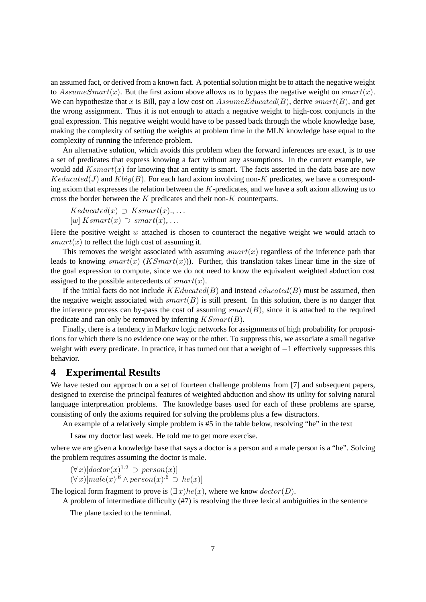an assumed fact, or derived from a known fact. A potential solution might be to attach the negative weight to AssumeSmart(x). But the first axiom above allows us to bypass the negative weight on smart(x). We can hypothesize that x is Bill, pay a low cost on  $AssumeEdward(B)$ , derive smart $(B)$ , and get the wrong assignment. Thus it is not enough to attach a negative weight to high-cost conjuncts in the goal expression. This negative weight would have to be passed back through the whole knowledge base, making the complexity of setting the weights at problem time in the MLN knowledge base equal to the complexity of running the inference problem.

An alternative solution, which avoids this problem when the forward inferences are exact, is to use a set of predicates that express knowing a fact without any assumptions. In the current example, we would add  $Ksmart(x)$  for knowing that an entity is smart. The facts asserted in the data base are now  $Keducated(J)$  and  $Kbig(B)$ . For each hard axiom involving non-K predicates, we have a corresponding axiom that expresses the relation between the  $K$ -predicates, and we have a soft axiom allowing us to cross the border between the K predicates and their non-K counterparts.

 $Keduced(x) \supset Ksmart(x), \ldots$  $[w]$  Ksmart $(x) \supset$  smart $(x)$ , ...

Here the positive weight  $w$  attached is chosen to counteract the negative weight we would attach to  $smart(x)$  to reflect the high cost of assuming it.

This removes the weight associated with assuming  $smart(x)$  regardless of the inference path that leads to knowing  $smart(x)$  (*KSmart(x)*)). Further, this translation takes linear time in the size of the goal expression to compute, since we do not need to know the equivalent weighted abduction cost assigned to the possible antecedents of  $smart(x)$ .

If the initial facts do not include  $KEduced(B)$  and instead  $calculated(B)$  must be assumed, then the negative weight associated with  $smart(B)$  is still present. In this solution, there is no danger that the inference process can by-pass the cost of assuming  $smart(B)$ , since it is attached to the required predicate and can only be removed by inferring  $KSmart(B)$ .

Finally, there is a tendency in Markov logic networks for assignments of high probability for propositions for which there is no evidence one way or the other. To suppress this, we associate a small negative weight with every predicate. In practice, it has turned out that a weight of −1 effectively suppresses this behavior.

#### **4 Experimental Results**

We have tested our approach on a set of fourteen challenge problems from [7] and subsequent papers, designed to exercise the principal features of weighted abduction and show its utility for solving natural language interpretation problems. The knowledge bases used for each of these problems are sparse, consisting of only the axioms required for solving the problems plus a few distractors.

An example of a relatively simple problem is #5 in the table below, resolving "he" in the text

I saw my doctor last week. He told me to get more exercise.

where we are given a knowledge base that says a doctor is a person and a male person is a "he". Solving the problem requires assuming the doctor is male.

 $(\forall x)[dotor(x)^{1.2}] \supset person(x)]$  $(\forall x)[male(x)^{.6} \land person(x)^{.6} \supset he(x)]$ 

The logical form fragment to prove is  $(\exists x)he(x)$ , where we know  $doctor(D)$ .

A problem of intermediate difficulty (#7) is resolving the three lexical ambiguities in the sentence

The plane taxied to the terminal.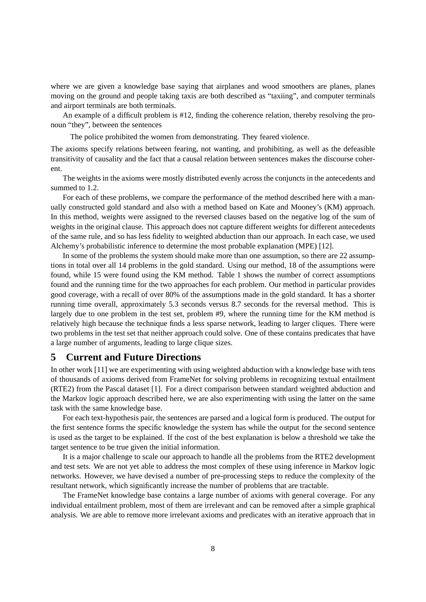where we are given a knowledge base saying that airplanes and wood smoothers are planes, planes moving on the ground and people taking taxis are both described as "taxiing", and computer terminals and airport terminals are both terminals.

An example of a difficult problem is #12, finding the coherence relation, thereby resolving the pronoun "they", between the sentences

The police prohibited the women from demonstrating. They feared violence.

The axioms specify relations between fearing, not wanting, and prohibiting, as well as the defeasible transitivity of causality and the fact that a causal relation between sentences makes the discourse coherent.

The weights in the axioms were mostly distributed evenly across the conjuncts in the antecedents and summed to 1.2.

For each of these problems, we compare the performance of the method described here with a manually constructed gold standard and also with a method based on Kate and Mooney's (KM) approach. In this method, weights were assigned to the reversed clauses based on the negative log of the sum of weights in the original clause. This approach does not capture different weights for different antecedents of the same rule, and so has less fidelity to weighted abduction than our approach. In each case, we used Alchemy's probabilistic inference to determine the most probable explanation (MPE) [12].

In some of the problems the system should make more than one assumption, so there are 22 assumptions in total over all 14 problems in the gold standard. Using our method, 18 of the assumptions were found, while 15 were found using the KM method. Table 1 shows the number of correct assumptions found and the running time for the two approaches for each problem. Our method in particular provides good coverage, with a recall of over 80% of the assumptions made in the gold standard. It has a shorter running time overall, approximately 5.3 seconds versus 8.7 seconds for the reversal method. This is largely due to one problem in the test set, problem #9, where the running time for the KM method is relatively high because the technique finds a less sparse network, leading to larger cliques. There were two problems in the test set that neither approach could solve. One of these contains predicates that have a large number of arguments, leading to large clique sizes.

### **5 Current and Future Directions**

In other work [11] we are experimenting with using weighted abduction with a knowledge base with tens of thousands of axioms derived from FrameNet for solving problems in recognizing textual entailment (RTE2) from the Pascal dataset [1]. For a direct comparison between standard weighted abduction and the Markov logic approach described here, we are also experimenting with using the latter on the same task with the same knowledge base.

For each text-hypothesis pair, the sentences are parsed and a logical form is produced. The output for the first sentence forms the specific knowledge the system has while the output for the second sentence is used as the target to be explained. If the cost of the best explanation is below a threshold we take the target sentence to be true given the initial information.

It is a major challenge to scale our approach to handle all the problems from the RTE2 development and test sets. We are not yet able to address the most complex of these using inference in Markov logic networks. However, we have devised a number of pre-processing steps to reduce the complexity of the resultant network, which significantly increase the number of problems that are tractable.

The FrameNet knowledge base contains a large number of axioms with general coverage. For any individual entailment problem, most of them are irrelevant and can be removed after a simple graphical analysis. We are able to remove more irrelevant axioms and predicates with an iterative approach that in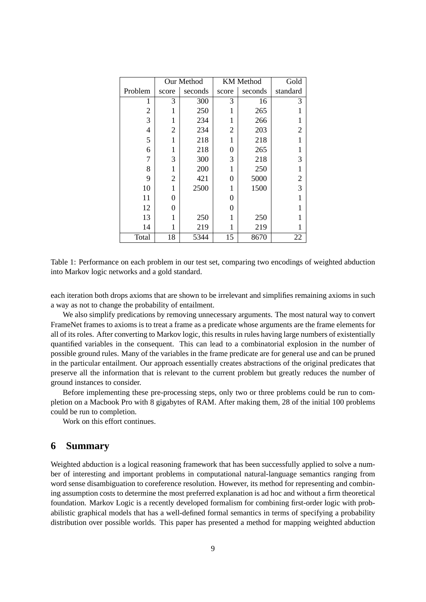|                | Our Method     |         | <b>KM</b> Method |         | Gold          |
|----------------|----------------|---------|------------------|---------|---------------|
| Problem        | score          | seconds | score            | seconds | standard      |
| 1              | 3              | 300     | 3                | 16      | 3             |
| $\overline{2}$ | 1              | 250     |                  | 265     |               |
| 3              | 1              | 234     |                  | 266     |               |
| $\overline{4}$ | $\overline{c}$ | 234     | $\overline{2}$   | 203     | 2             |
| 5              | 1              | 218     | 1                | 218     | 1             |
| 6              | 1              | 218     | 0                | 265     |               |
| 7              | 3              | 300     | 3                | 218     | 3             |
| 8              | 1              | 200     |                  | 250     | 1             |
| 9              | 2              | 421     | 0                | 5000    |               |
| 10             | 1              | 2500    | 1                | 1500    | $\frac{2}{3}$ |
| 11             | 0              |         | $\theta$         |         |               |
| 12             | 0              |         | 0                |         |               |
| 13             | 1              | 250     |                  | 250     |               |
| 14             | 1              | 219     | 1                | 219     |               |
| Total          | 18             | 5344    | 15               | 8670    | 22            |

Table 1: Performance on each problem in our test set, comparing two encodings of weighted abduction into Markov logic networks and a gold standard.

each iteration both drops axioms that are shown to be irrelevant and simplifies remaining axioms in such a way as not to change the probability of entailment.

We also simplify predications by removing unnecessary arguments. The most natural way to convert FrameNet frames to axioms is to treat a frame as a predicate whose arguments are the frame elements for all of its roles. After converting to Markov logic, this results in rules having large numbers of existentially quantified variables in the consequent. This can lead to a combinatorial explosion in the number of possible ground rules. Many of the variables in the frame predicate are for general use and can be pruned in the particular entailment. Our approach essentially creates abstractions of the original predicates that preserve all the information that is relevant to the current problem but greatly reduces the number of ground instances to consider.

Before implementing these pre-processing steps, only two or three problems could be run to completion on a Macbook Pro with 8 gigabytes of RAM. After making them, 28 of the initial 100 problems could be run to completion.

Work on this effort continues.

### **6 Summary**

Weighted abduction is a logical reasoning framework that has been successfully applied to solve a number of interesting and important problems in computational natural-language semantics ranging from word sense disambiguation to coreference resolution. However, its method for representing and combining assumption costs to determine the most preferred explanation is ad hoc and without a firm theoretical foundation. Markov Logic is a recently developed formalism for combining first-order logic with probabilistic graphical models that has a well-defined formal semantics in terms of specifying a probability distribution over possible worlds. This paper has presented a method for mapping weighted abduction